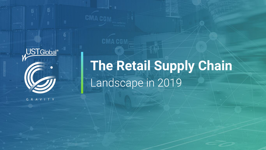

The Retail Supply Chain

CMA CGM

GRAVITY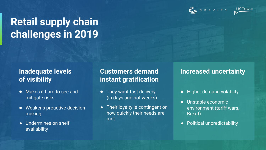



# **Retail supply chain challenges in 2019**

#### **Inadequate levels of visibility**

- Makes it hard to see and mitigate risks
- Weakens proactive decision making
- Undermines on shelf availability

### **Customers demand instant gratification**

- They want fast delivery (in days and not weeks)
- Their loyalty is contingent on how quickly their needs are met

#### **Increased uncertainty**

- Higher demand volatility
- Unstable economic environment (tariff wars, Brexit)
- Political unpredictability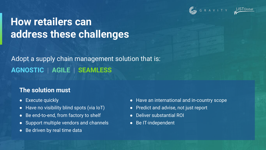



### **How retailers can address these challenges**

### **AGNOSTIC | AGILE | SEAMLESS** Adopt a supply chain management solution that is:

#### **The solution must**

- Execute quickly
- Have no visibility blind spots (via IoT)
- Be end-to-end, from factory to shelf
- Support multiple vendors and channels
- Be driven by real time data
- Have an international and in-country scope
- Predict and advise, not just report
- Deliver substantial ROI
- Be IT-independent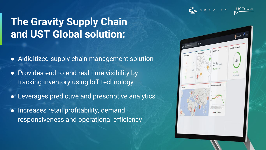

# **The Gravity Supply Chain and UST Global solution:**

- A digitized supply chain management solution
- Provides end-to-end real time visibility by tracking inventory using IoT technology
- Leverages predictive and prescriptive analytics
- Increases retail profitability, demand responsiveness and operational efficiency